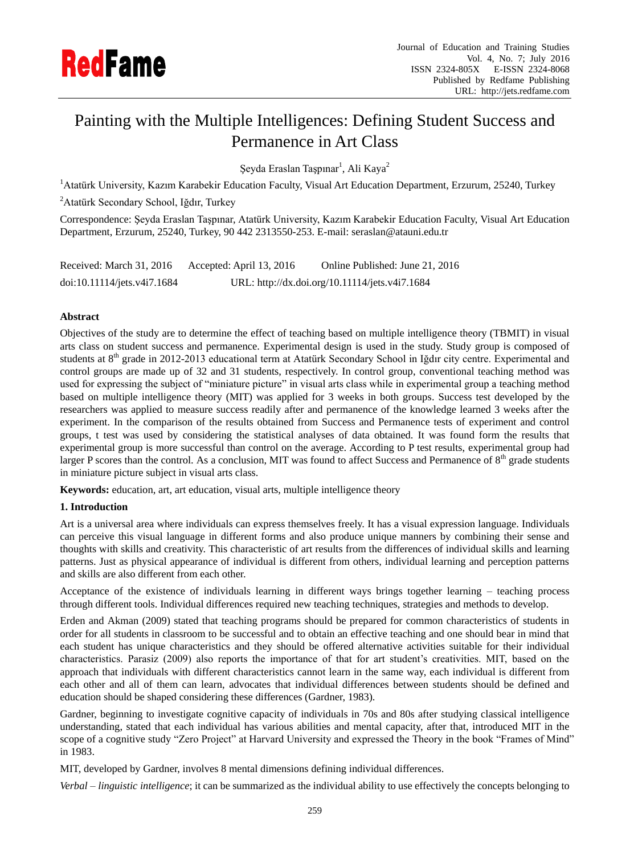

# Painting with the Multiple Intelligences: Defining Student Success and Permanence in Art Class

Şeyda Eraslan Taşpınar<sup>1</sup>, Ali Kaya<sup>2</sup>

<sup>1</sup> Atatürk University, Kazım Karabekir Education Faculty, Visual Art Education Department, Erzurum, 25240, Turkey

<sup>2</sup>Atatürk Secondary School, Iğdır, Turkey

Correspondence: Şeyda Eraslan Taşpınar, Atatürk University, Kazım Karabekir Education Faculty, Visual Art Education Department, Erzurum, 25240, Turkey, 90 442 2313550-253. E-mail: seraslan@atauni.edu.tr

Received: March 31, 2016 Accepted: April 13, 2016 Online Published: June 21, 2016 doi:10.11114/jets.v4i7.1684 URL: http://dx.doi.org/10.11114/jets.v4i7.1684

# **Abstract**

Objectives of the study are to determine the effect of teaching based on multiple intelligence theory (TBMIT) in visual arts class on student success and permanence. Experimental design is used in the study. Study group is composed of students at 8<sup>th</sup> grade in 2012-2013 educational term at Atatürk Secondary School in Iğdır city centre. Experimental and control groups are made up of 32 and 31 students, respectively. In control group, conventional teaching method was used for expressing the subject of "miniature picture" in visual arts class while in experimental group a teaching method based on multiple intelligence theory (MIT) was applied for 3 weeks in both groups. Success test developed by the researchers was applied to measure success readily after and permanence of the knowledge learned 3 weeks after the experiment. In the comparison of the results obtained from Success and Permanence tests of experiment and control groups, t test was used by considering the statistical analyses of data obtained. It was found form the results that experimental group is more successful than control on the average. According to P test results, experimental group had larger P scores than the control. As a conclusion, MIT was found to affect Success and Permanence of 8<sup>th</sup> grade students in miniature picture subject in visual arts class.

**Keywords:** education, art, art education, visual arts, multiple intelligence theory

## **1. Introduction**

Art is a universal area where individuals can express themselves freely. It has a visual expression language. Individuals can perceive this visual language in different forms and also produce unique manners by combining their sense and thoughts with skills and creativity. This characteristic of art results from the differences of individual skills and learning patterns. Just as physical appearance of individual is different from others, individual learning and perception patterns and skills are also different from each other.

Acceptance of the existence of individuals learning in different ways brings together learning – teaching process through different tools. Individual differences required new teaching techniques, strategies and methods to develop.

Erden and Akman (2009) stated that teaching programs should be prepared for common characteristics of students in order for all students in classroom to be successful and to obtain an effective teaching and one should bear in mind that each student has unique characteristics and they should be offered alternative activities suitable for their individual characteristics. Parasiz (2009) also reports the importance of that for art student's creativities. MIT, based on the approach that individuals with different characteristics cannot learn in the same way, each individual is different from each other and all of them can learn, advocates that individual differences between students should be defined and education should be shaped considering these differences (Gardner, 1983).

Gardner, beginning to investigate cognitive capacity of individuals in 70s and 80s after studying classical intelligence understanding, stated that each individual has various abilities and mental capacity, after that, introduced MIT in the scope of a cognitive study "Zero Project" at Harvard University and expressed the Theory in the book "Frames of Mind" in 1983.

MIT, developed by Gardner, involves 8 mental dimensions defining individual differences.

*Verbal – linguistic intelligence*; it can be summarized as the individual ability to use effectively the concepts belonging to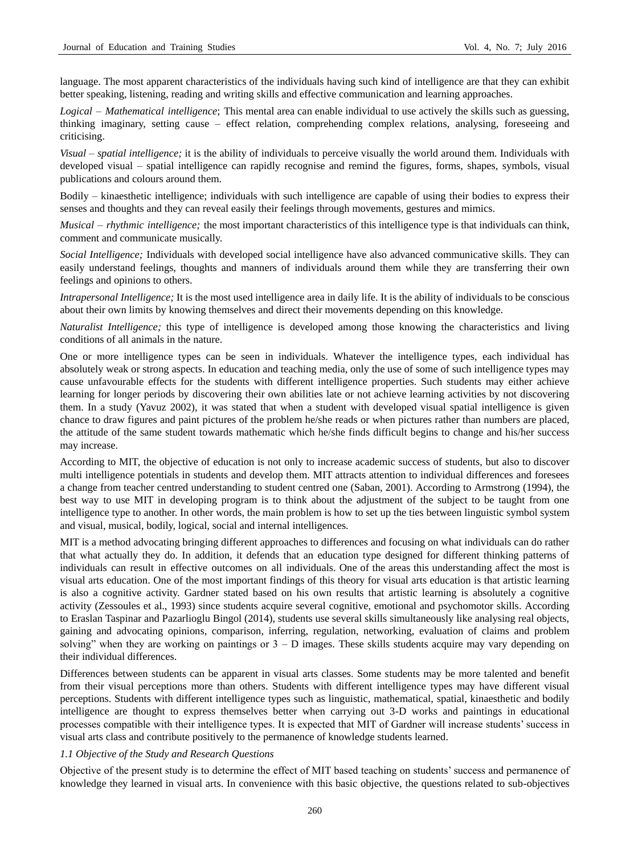language. The most apparent characteristics of the individuals having such kind of intelligence are that they can exhibit better speaking, listening, reading and writing skills and effective communication and learning approaches.

*Logical – Mathematical intelligence*; This mental area can enable individual to use actively the skills such as guessing, thinking imaginary, setting cause – effect relation, comprehending complex relations, analysing, foreseeing and criticising.

*Visual – spatial intelligence;* it is the ability of individuals to perceive visually the world around them. Individuals with developed visual – spatial intelligence can rapidly recognise and remind the figures, forms, shapes, symbols, visual publications and colours around them.

Bodily – kinaesthetic intelligence; individuals with such intelligence are capable of using their bodies to express their senses and thoughts and they can reveal easily their feelings through movements, gestures and mimics.

*Musical – rhythmic intelligence;* the most important characteristics of this intelligence type is that individuals can think, comment and communicate musically.

*Social Intelligence;* Individuals with developed social intelligence have also advanced communicative skills. They can easily understand feelings, thoughts and manners of individuals around them while they are transferring their own feelings and opinions to others.

*Intrapersonal Intelligence;* It is the most used intelligence area in daily life. It is the ability of individuals to be conscious about their own limits by knowing themselves and direct their movements depending on this knowledge.

*Naturalist Intelligence;* this type of intelligence is developed among those knowing the characteristics and living conditions of all animals in the nature.

One or more intelligence types can be seen in individuals. Whatever the intelligence types, each individual has absolutely weak or strong aspects. In education and teaching media, only the use of some of such intelligence types may cause unfavourable effects for the students with different intelligence properties. Such students may either achieve learning for longer periods by discovering their own abilities late or not achieve learning activities by not discovering them. In a study (Yavuz 2002), it was stated that when a student with developed visual spatial intelligence is given chance to draw figures and paint pictures of the problem he/she reads or when pictures rather than numbers are placed, the attitude of the same student towards mathematic which he/she finds difficult begins to change and his/her success may increase.

According to MIT, the objective of education is not only to increase academic success of students, but also to discover multi intelligence potentials in students and develop them. MIT attracts attention to individual differences and foresees a change from teacher centred understanding to student centred one (Saban, 2001). According to Armstrong (1994), the best way to use MIT in developing program is to think about the adjustment of the subject to be taught from one intelligence type to another. In other words, the main problem is how to set up the ties between linguistic symbol system and visual, musical, bodily, logical, social and internal intelligences.

MIT is a method advocating bringing different approaches to differences and focusing on what individuals can do rather that what actually they do. In addition, it defends that an education type designed for different thinking patterns of individuals can result in effective outcomes on all individuals. One of the areas this understanding affect the most is visual arts education. One of the most important findings of this theory for visual arts education is that artistic learning is also a cognitive activity. Gardner stated based on his own results that artistic learning is absolutely a cognitive activity (Zessoules et al., 1993) since students acquire several cognitive, emotional and psychomotor skills. According to Eraslan Taspinar and Pazarlioglu Bingol (2014), students use several skills simultaneously like analysing real objects, gaining and advocating opinions, comparison, inferring, regulation, networking, evaluation of claims and problem solving" when they are working on paintings or  $3 - D$  images. These skills students acquire may vary depending on their individual differences.

Differences between students can be apparent in visual arts classes. Some students may be more talented and benefit from their visual perceptions more than others. Students with different intelligence types may have different visual perceptions. Students with different intelligence types such as linguistic, mathematical, spatial, kinaesthetic and bodily intelligence are thought to express themselves better when carrying out 3-D works and paintings in educational processes compatible with their intelligence types. It is expected that MIT of Gardner will increase students' success in visual arts class and contribute positively to the permanence of knowledge students learned.

#### *1.1 Objective of the Study and Research Questions*

Objective of the present study is to determine the effect of MIT based teaching on students' success and permanence of knowledge they learned in visual arts. In convenience with this basic objective, the questions related to sub-objectives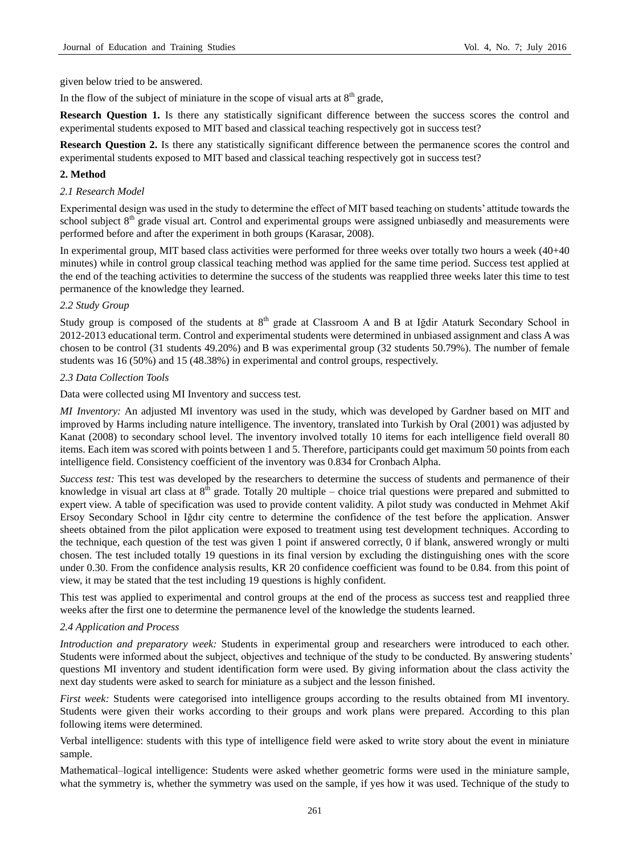given below tried to be answered.

In the flow of the subject of miniature in the scope of visual arts at  $8<sup>th</sup>$  grade,

**Research Question 1.** Is there any statistically significant difference between the success scores the control and experimental students exposed to MIT based and classical teaching respectively got in success test?

**Research Question 2.** Is there any statistically significant difference between the permanence scores the control and experimental students exposed to MIT based and classical teaching respectively got in success test?

## **2. Method**

## *2.1 Research Model*

Experimental design was used in the study to determine the effect of MIT based teaching on students' attitude towards the school subject  $8<sup>th</sup>$  grade visual art. Control and experimental groups were assigned unbiasedly and measurements were performed before and after the experiment in both groups (Karasar, 2008).

In experimental group, MIT based class activities were performed for three weeks over totally two hours a week (40+40 minutes) while in control group classical teaching method was applied for the same time period. Success test applied at the end of the teaching activities to determine the success of the students was reapplied three weeks later this time to test permanence of the knowledge they learned.

# *2.2 Study Group*

Study group is composed of the students at 8<sup>th</sup> grade at Classroom A and B at Iğdir Ataturk Secondary School in 2012-2013 educational term. Control and experimental students were determined in unbiased assignment and class A was chosen to be control (31 students 49.20%) and B was experimental group (32 students 50.79%). The number of female students was 16 (50%) and 15 (48.38%) in experimental and control groups, respectively.

# *2.3 Data Collection Tools*

Data were collected using MI Inventory and success test.

*MI Inventory:* An adjusted MI inventory was used in the study, which was developed by Gardner based on MIT and improved by Harms including nature intelligence. The inventory, translated into Turkish by Oral (2001) was adjusted by Kanat (2008) to secondary school level. The inventory involved totally 10 items for each intelligence field overall 80 items. Each item was scored with points between 1 and 5. Therefore, participants could get maximum 50 points from each intelligence field. Consistency coefficient of the inventory was 0.834 for Cronbach Alpha.

*Success test:* This test was developed by the researchers to determine the success of students and permanence of their knowledge in visual art class at  $8<sup>th</sup>$  grade. Totally 20 multiple – choice trial questions were prepared and submitted to expert view. A table of specification was used to provide content validity. A pilot study was conducted in Mehmet Akif Ersoy Secondary School in Iğdır city centre to determine the confidence of the test before the application. Answer sheets obtained from the pilot application were exposed to treatment using test development techniques. According to the technique, each question of the test was given 1 point if answered correctly, 0 if blank, answered wrongly or multi chosen. The test included totally 19 questions in its final version by excluding the distinguishing ones with the score under 0.30. From the confidence analysis results, KR 20 confidence coefficient was found to be 0.84. from this point of view, it may be stated that the test including 19 questions is highly confident.

This test was applied to experimental and control groups at the end of the process as success test and reapplied three weeks after the first one to determine the permanence level of the knowledge the students learned.

## *2.4 Application and Process*

*Introduction and preparatory week:* Students in experimental group and researchers were introduced to each other. Students were informed about the subject, objectives and technique of the study to be conducted. By answering students' questions MI inventory and student identification form were used. By giving information about the class activity the next day students were asked to search for miniature as a subject and the lesson finished.

*First week:* Students were categorised into intelligence groups according to the results obtained from MI inventory. Students were given their works according to their groups and work plans were prepared. According to this plan following items were determined.

Verbal intelligence: students with this type of intelligence field were asked to write story about the event in miniature sample.

Mathematical–logical intelligence: Students were asked whether geometric forms were used in the miniature sample, what the symmetry is, whether the symmetry was used on the sample, if yes how it was used. Technique of the study to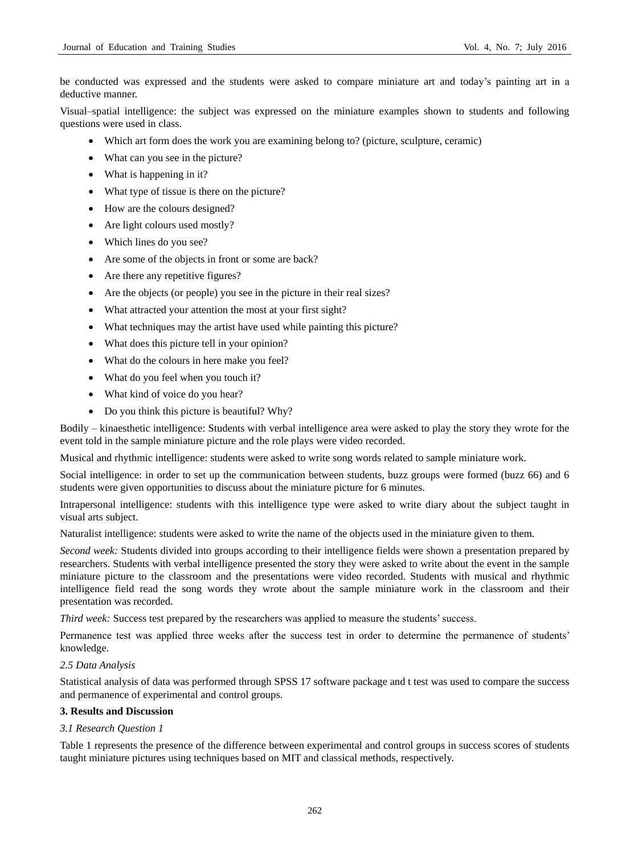be conducted was expressed and the students were asked to compare miniature art and today's painting art in a deductive manner.

Visual–spatial intelligence: the subject was expressed on the miniature examples shown to students and following questions were used in class.

- Which art form does the work you are examining belong to? (picture, sculpture, ceramic)
- What can you see in the picture?
- What is happening in it?
- What type of tissue is there on the picture?
- How are the colours designed?
- Are light colours used mostly?
- Which lines do you see?
- Are some of the objects in front or some are back?
- Are there any repetitive figures?
- Are the objects (or people) you see in the picture in their real sizes?
- What attracted your attention the most at your first sight?
- What techniques may the artist have used while painting this picture?
- What does this picture tell in your opinion?
- What do the colours in here make you feel?
- What do you feel when you touch it?
- What kind of voice do you hear?
- Do you think this picture is beautiful? Why?

Bodily – kinaesthetic intelligence: Students with verbal intelligence area were asked to play the story they wrote for the event told in the sample miniature picture and the role plays were video recorded.

Musical and rhythmic intelligence: students were asked to write song words related to sample miniature work.

Social intelligence: in order to set up the communication between students, buzz groups were formed (buzz 66) and 6 students were given opportunities to discuss about the miniature picture for 6 minutes.

Intrapersonal intelligence: students with this intelligence type were asked to write diary about the subject taught in visual arts subject.

Naturalist intelligence: students were asked to write the name of the objects used in the miniature given to them.

*Second week:* Students divided into groups according to their intelligence fields were shown a presentation prepared by researchers. Students with verbal intelligence presented the story they were asked to write about the event in the sample miniature picture to the classroom and the presentations were video recorded. Students with musical and rhythmic intelligence field read the song words they wrote about the sample miniature work in the classroom and their presentation was recorded.

*Third week:* Success test prepared by the researchers was applied to measure the students' success.

Permanence test was applied three weeks after the success test in order to determine the permanence of students' knowledge.

## *2.5 Data Analysis*

Statistical analysis of data was performed through SPSS 17 software package and t test was used to compare the success and permanence of experimental and control groups.

## **3. Results and Discussion**

## *3.1 Research Question 1*

Table 1 represents the presence of the difference between experimental and control groups in success scores of students taught miniature pictures using techniques based on MIT and classical methods, respectively.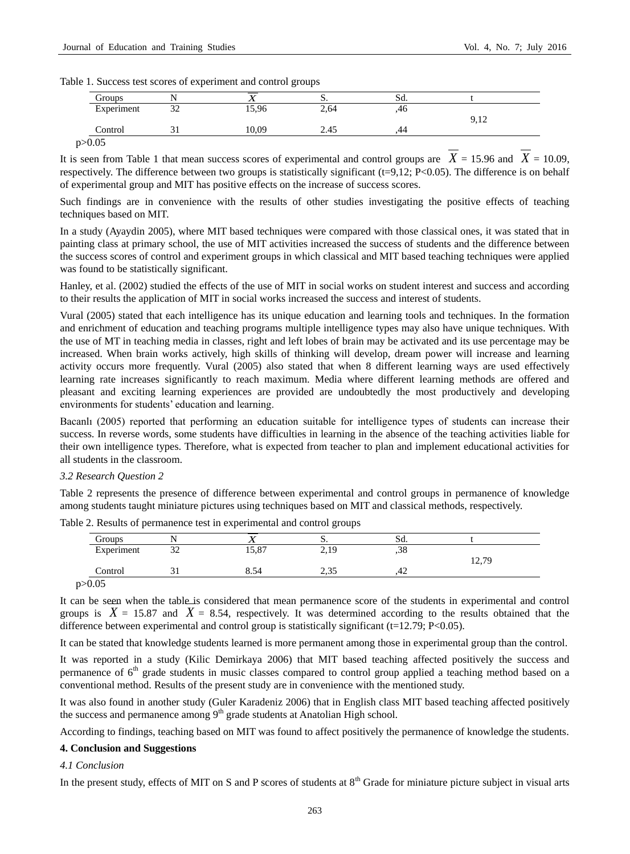Table 1. Success test scores of experiment and control groups

| Groups     |               |       | ັບ.  | Sa. |      |
|------------|---------------|-------|------|-----|------|
| Experiment | $\sim$<br>ے ر | 15,96 | 2,64 | ,40 | 9,12 |
| Control    |               | 10.09 | 2.45 | 44  |      |

It is seen from Table 1 that mean success scores of experimental and control groups are  $X = 15.96$  and  $X = 10.09$ , respectively. The difference between two groups is statistically significant (t=9,12; P<0.05). The difference is on behalf of experimental group and MIT has positive effects on the increase of success scores.

Such findings are in convenience with the results of other studies investigating the positive effects of teaching techniques based on MIT.

In a study (Ayaydin 2005), where MIT based techniques were compared with those classical ones, it was stated that in painting class at primary school, the use of MIT activities increased the success of students and the difference between the success scores of control and experiment groups in which classical and MIT based teaching techniques were applied was found to be statistically significant.

Hanley, et al. (2002) studied the effects of the use of MIT in social works on student interest and success and according to their results the application of MIT in social works increased the success and interest of students.

Vural (2005) stated that each intelligence has its unique education and learning tools and techniques. In the formation and enrichment of education and teaching programs multiple intelligence types may also have unique techniques. With the use of MT in teaching media in classes, right and left lobes of brain may be activated and its use percentage may be increased. When brain works actively, high skills of thinking will develop, dream power will increase and learning activity occurs more frequently. Vural (2005) also stated that when 8 different learning ways are used effectively learning rate increases significantly to reach maximum. Media where different learning methods are offered and pleasant and exciting learning experiences are provided are undoubtedly the most productively and developing environments for students' education and learning.

Bacanlı (2005) reported that performing an education suitable for intelligence types of students can increase their success. In reverse words, some students have difficulties in learning in the absence of the teaching activities liable for their own intelligence types. Therefore, what is expected from teacher to plan and implement educational activities for all students in the classroom.

#### *3.2 Research Question 2*

Table 2 represents the presence of difference between experimental and control groups in permanence of knowledge among students taught miniature pictures using techniques based on MIT and classical methods, respectively.

| Groups     |               |       | ມ.    | SQ. |       |
|------------|---------------|-------|-------|-----|-------|
| Experiment | $\sim$<br>ىدر | 15,87 | 2,19  | ,38 |       |
|            |               |       |       |     | 12,79 |
| Control    |               | 8.54  | ر د ک | 44  |       |

Table 2. Results of permanence test in experimental and control groups

It can be seen when the table is considered that mean permanence score of the students in experimental and control groups is  $X = 15.87$  and  $X = 8.54$ , respectively. It was determined according to the results obtained that the difference between experimental and control group is statistically significant ( $t=12.79$ ; P<0.05).

It can be stated that knowledge students learned is more permanent among those in experimental group than the control.

It was reported in a study (Kilic Demirkaya 2006) that MIT based teaching affected positively the success and permanence of  $6<sup>th</sup>$  grade students in music classes compared to control group applied a teaching method based on a conventional method. Results of the present study are in convenience with the mentioned study.

It was also found in another study (Guler Karadeniz 2006) that in English class MIT based teaching affected positively the success and permanence among  $9<sup>th</sup>$  grade students at Anatolian High school.

According to findings, teaching based on MIT was found to affect positively the permanence of knowledge the students.

#### **4. Conclusion and Suggestions**

#### *4.1 Conclusion*

In the present study, effects of MIT on S and P scores of students at  $8<sup>th</sup>$  Grade for miniature picture subject in visual arts